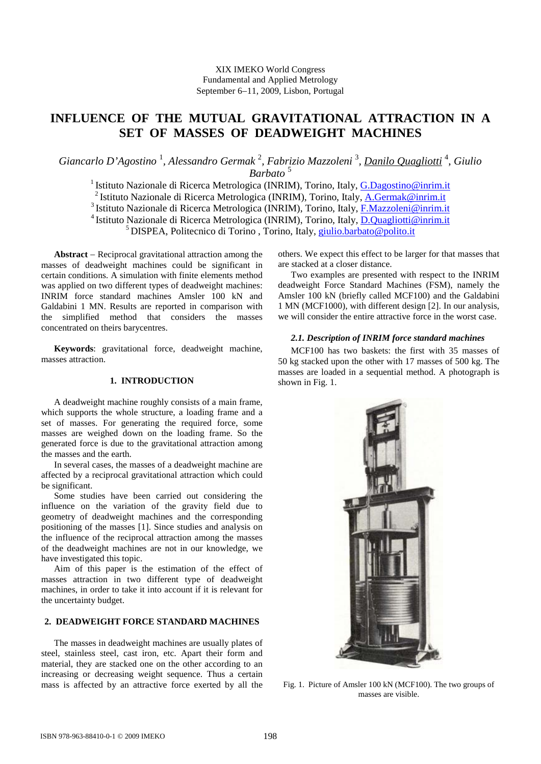# **INFLUENCE OF THE MUTUAL GRAVITATIONAL ATTRACTION IN A SET OF MASSES OF DEADWEIGHT MACHINES**

*Giancarlo D'Agostino* <sup>1</sup> *, Alessandro Germak* <sup>2</sup> *, Fabrizio Mazzoleni* <sup>3</sup> *, Danilo Quagliotti* 4 , *Giulio Barbato* <sup>5</sup>

<sup>1</sup> Istituto Nazionale di Ricerca Metrologica (INRIM), Torino, Italy, [G.Dagostino@inrim.it](mailto:G.Dagostino@inrim.it) <sup>2</sup> Istituto Nazionale di Ricerca Metrologica (INRIM), Torino, Italy, [A.Germak@inrim.it](mailto:A.Germak@inrim.it) <sup>3</sup> Istituto Nazionale di Ricerca Metrologica (INRIM), Torino, Italy, [F.Mazzoleni@inrim.it](mailto:F.Mazzoleni@inrim.it) <sup>4</sup> Istituto Nazionale di Ricerca Metrologica (INRIM), Torino, Italy, **D.Quagliotti@inrim.it** <sup>5</sup> DISPEA, Politecnico di Torino , Torino, Italy, [giulio.barbato@polito.it](mailto:giulio.barbato@polito.it)

**Abstract** − Reciprocal gravitational attraction among the masses of deadweight machines could be significant in certain conditions. A simulation with finite elements method was applied on two different types of deadweight machines: INRIM force standard machines Amsler 100 kN and Galdabini 1 MN. Results are reported in comparison with the simplified method that considers the masses concentrated on theirs barycentres.

**Keywords**: gravitational force, deadweight machine, masses attraction.

# **1. INTRODUCTION**

A deadweight machine roughly consists of a main frame, which supports the whole structure, a loading frame and a set of masses. For generating the required force, some masses are weighed down on the loading frame. So the generated force is due to the gravitational attraction among the masses and the earth.

In several cases, the masses of a deadweight machine are affected by a reciprocal gravitational attraction which could be significant.

Some studies have been carried out considering the influence on the variation of the gravity field due to geometry of deadweight machines and the corresponding positioning of the masses [1]. Since studies and analysis on the influence of the reciprocal attraction among the masses of the deadweight machines are not in our knowledge, we have investigated this topic.

Aim of this paper is the estimation of the effect of masses attraction in two different type of deadweight machines, in order to take it into account if it is relevant for the uncertainty budget.

# **2. DEADWEIGHT FORCE STANDARD MACHINES**

The masses in deadweight machines are usually plates of steel, stainless steel, cast iron, etc. Apart their form and material, they are stacked one on the other according to an increasing or decreasing weight sequence. Thus a certain mass is affected by an attractive force exerted by all the others. We expect this effect to be larger for that masses that are stacked at a closer distance.

Two examples are presented with respect to the INRIM deadweight Force Standard Machines (FSM), namely the Amsler 100 kN (briefly called MCF100) and the Galdabini 1 MN (MCF1000), with different design [2]. In our analysis, we will consider the entire attractive force in the worst case.

### *2.1. Description of INRIM force standard machines*

MCF100 has two baskets: the first with 35 masses of 50 kg stacked upon the other with 17 masses of 500 kg. The masses are loaded in a sequential method. A photograph is shown in Fig. 1.



Fig. 1. Picture of Amsler 100 kN (MCF100). The two groups of masses are visible.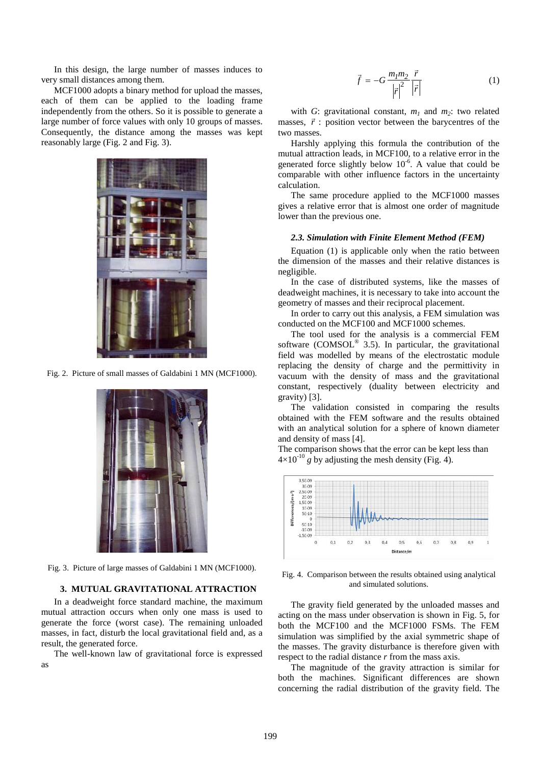In this design, the large number of masses induces to very small distances among them.

MCF1000 adopts a binary method for upload the masses, each of them can be applied to the loading frame independently from the others. So it is possible to generate a large number of force values with only 10 groups of masses. Consequently, the distance among the masses was kept reasonably large (Fig. 2 and Fig. 3).



Fig. 2. Picture of small masses of Galdabini 1 MN (MCF1000).



Fig. 3. Picture of large masses of Galdabini 1 MN (MCF1000).

## **3. MUTUAL GRAVITATIONAL ATTRACTION**

In a deadweight force standard machine, the maximum mutual attraction occurs when only one mass is used to generate the force (worst case). The remaining unloaded masses, in fact, disturb the local gravitational field and, as a result, the generated force.

The well-known law of gravitational force is expressed as

$$
\vec{f} = -G \frac{m_1 m_2}{\left|\vec{r}\right|^2} \frac{\vec{r}}{\left|\vec{r}\right|} \tag{1}
$$

with *G*: gravitational constant,  $m_1$  and  $m_2$ : two related masses,  $\vec{r}$  : position vector between the barycentres of the two masses.

Harshly applying this formula the contribution of the mutual attraction leads, in MCF100, to a relative error in the generated force slightly below  $10^{-6}$ . A value that could be comparable with other influence factors in the uncertainty calculation.

The same procedure applied to the MCF1000 masses gives a relative error that is almost one order of magnitude lower than the previous one.

#### *2.3. Simulation with Finite Element Method (FEM)*

Equation (1) is applicable only when the ratio between the dimension of the masses and their relative distances is negligible.

In the case of distributed systems, like the masses of deadweight machines, it is necessary to take into account the geometry of masses and their reciprocal placement.

In order to carry out this analysis, a FEM simulation was conducted on the MCF100 and MCF1000 schemes.

The tool used for the analysis is a commercial FEM software (COMSOL® 3.5). In particular, the gravitational field was modelled by means of the electrostatic module replacing the density of charge and the permittivity in vacuum with the density of mass and the gravitational constant, respectively (duality between electricity and gravity) [3].

The validation consisted in comparing the results obtained with the FEM software and the results obtained with an analytical solution for a sphere of known diameter and density of mass [4].

The comparison shows that the error can be kept less than  $4\times10^{-10}$  g by adjusting the mesh density (Fig. 4).



Fig. 4. Comparison between the results obtained using analytical and simulated solutions.

The gravity field generated by the unloaded masses and acting on the mass under observation is shown in Fig. 5, for both the MCF100 and the MCF1000 FSMs. The FEM simulation was simplified by the axial symmetric shape of the masses. The gravity disturbance is therefore given with respect to the radial distance *r* from the mass axis.

The magnitude of the gravity attraction is similar for both the machines. Significant differences are shown concerning the radial distribution of the gravity field. The